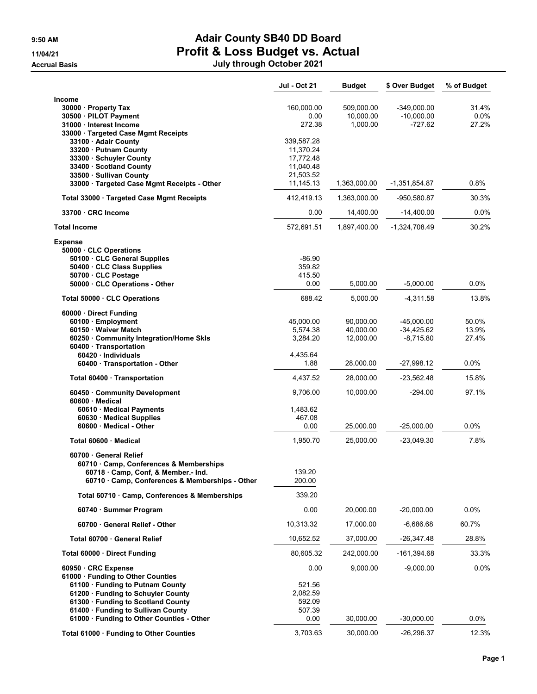## 9:50 AM **Adair County SB40 DD Board** 11/04/21<br>Accrual Basis **Profit & Loss Budget vs. Actual**<br>July through October 2021 Accrual Basis **Accrual Basis Accrual Basis Accrual Basis Accrual Basis Accrual Basis**

| July through October 202′ |  |  |  |
|---------------------------|--|--|--|
|---------------------------|--|--|--|

|                                                               | Jul - Oct 21         | <b>Budget</b> | \$ Over Budget              | % of Budget    |
|---------------------------------------------------------------|----------------------|---------------|-----------------------------|----------------|
| Income                                                        |                      |               |                             |                |
| 30000 · Property Tax                                          | 160,000.00           | 509,000.00    | -349,000.00                 | 31.4%          |
| 30500 · PILOT Payment                                         | 0.00                 | 10,000.00     | $-10,000.00$                | $0.0\%$        |
| 31000 · Interest Income                                       | 272.38               | 1,000.00      | $-727.62$                   | 27.2%          |
| 33000 · Targeted Case Mgmt Receipts<br>33100 · Adair County   | 339,587.28           |               |                             |                |
| 33200 Putnam County                                           | 11,370.24            |               |                             |                |
| 33300 Schuyler County                                         | 17,772.48            |               |                             |                |
| 33400 · Scotland County                                       | 11,040.48            |               |                             |                |
| 33500 · Sullivan County                                       | 21,503.52            |               |                             |                |
| 33000 · Targeted Case Mgmt Receipts - Other                   | 11,145.13            | 1,363,000.00  | -1,351,854.87               | $0.8\%$        |
| Total 33000 · Targeted Case Mgmt Receipts                     | 412,419.13           | 1,363,000.00  | -950,580.87                 | 30.3%          |
| 33700 CRC Income                                              | 0.00                 | 14,400.00     | $-14,400.00$                | $0.0\%$        |
| <b>Total Income</b>                                           | 572,691.51           | 1,897,400.00  | $-1,324,708.49$             | 30.2%          |
| <b>Expense</b>                                                |                      |               |                             |                |
| 50000 CLC Operations                                          |                      |               |                             |                |
| 50100 · CLC General Supplies                                  | $-86.90$             |               |                             |                |
| 50400 · CLC Class Supplies                                    | 359.82               |               |                             |                |
| 50700 CLC Postage                                             | 415.50               |               |                             |                |
| 50000 CLC Operations - Other                                  | 0.00                 | 5,000.00      | $-5,000.00$                 | $0.0\%$        |
| Total 50000 · CLC Operations                                  | 688.42               | 5,000.00      | $-4.311.58$                 | 13.8%          |
| 60000 Direct Funding                                          |                      |               |                             |                |
| 60100 · Employment                                            | 45,000.00            | 90,000.00     | $-45,000.00$                | 50.0%          |
| 60150 Waiver Match<br>60250 · Community Integration/Home Skls | 5,574.38<br>3,284.20 | 40,000.00     | $-34,425.62$<br>$-8,715.80$ | 13.9%<br>27.4% |
| 60400 · Transportation                                        |                      | 12,000.00     |                             |                |
| 60420 · Individuals                                           | 4,435.64             |               |                             |                |
| 60400 · Transportation - Other                                | 1.88                 | 28,000.00     | -27,998.12                  | $0.0\%$        |
| Total 60400 · Transportation                                  | 4,437.52             | 28,000.00     | -23,562.48                  | 15.8%          |
| 60450 Community Development<br>60600 · Medical                | 9,706.00             | 10,000.00     | $-294.00$                   | 97.1%          |
| 60610 · Medical Payments                                      | 1,483.62             |               |                             |                |
| 60630 Medical Supplies                                        | 467.08               |               |                             |                |
| 60600 Medical - Other                                         | 0.00                 | 25,000.00     | $-25,000.00$                | 0.0%           |
| Total 60600 · Medical                                         | 1,950.70             | 25,000.00     | $-23,049.30$                | 7.8%           |
| 60700 General Relief                                          |                      |               |                             |                |
| 60710 Camp, Conferences & Memberships                         |                      |               |                             |                |
| 60718 Camp, Conf, & Member.- Ind.                             | 139.20               |               |                             |                |
| 60710 Camp, Conferences & Memberships - Other                 | 200.00               |               |                             |                |
| Total 60710 · Camp, Conferences & Memberships                 | 339.20               |               |                             |                |
| 60740 · Summer Program                                        | 0.00                 | 20,000.00     | $-20,000.00$                | $0.0\%$        |
| 60700 General Relief - Other                                  | 10,313.32            | 17,000.00     | $-6,686.68$                 | 60.7%          |
| Total 60700 · General Relief                                  | 10,652.52            | 37,000.00     | -26,347.48                  | 28.8%          |
| Total 60000 Direct Funding                                    | 80,605.32            | 242,000.00    | -161,394.68                 | 33.3%          |
| 60950 CRC Expense                                             | 0.00                 | 9,000.00      | $-9,000.00$                 | 0.0%           |
| 61000 · Funding to Other Counties                             |                      |               |                             |                |
| 61100 · Funding to Putnam County                              | 521.56               |               |                             |                |
| 61200 · Funding to Schuyler County                            | 2,082.59             |               |                             |                |
| 61300 · Funding to Scotland County                            | 592.09               |               |                             |                |
| 61400 Funding to Sullivan County                              | 507.39<br>0.00       |               |                             | 0.0%           |
| 61000 · Funding to Other Counties - Other                     |                      | 30,000.00     | $-30,000.00$                |                |
| Total 61000 · Funding to Other Counties                       | 3,703.63             | 30,000.00     | $-26,296.37$                | 12.3%          |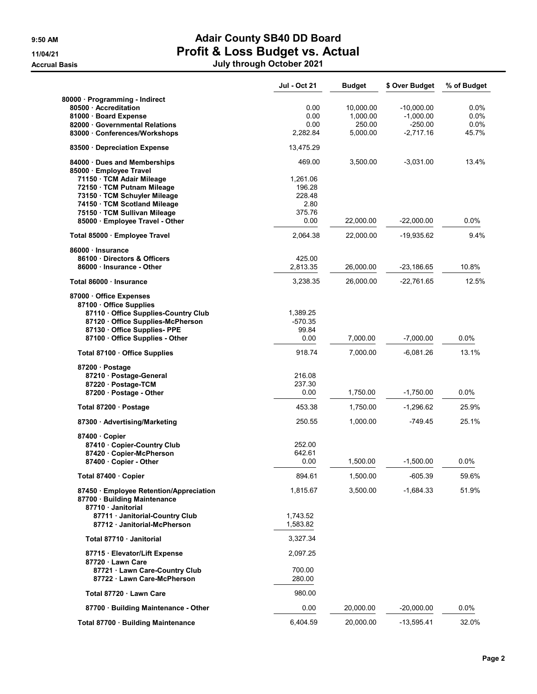## 9:50 AM **Adair County SB40 DD Board** 11/04/21 Profit & Loss Budget vs. Actual Accrual Basis July through October 2021

|                                                                                             | <b>Jul - Oct 21</b>  | <b>Budget</b> | \$ Over Budget | % of Budget |
|---------------------------------------------------------------------------------------------|----------------------|---------------|----------------|-------------|
| 80000 · Programming - Indirect                                                              |                      |               |                |             |
| 80500 Accreditation                                                                         | 0.00                 | 10,000.00     | $-10,000.00$   | $0.0\%$     |
| 81000 · Board Expense                                                                       | 0.00                 | 1,000.00      | $-1,000.00$    | $0.0\%$     |
| 82000 Governmental Relations                                                                | 0.00                 | 250.00        | $-250.00$      | $0.0\%$     |
| 83000 Conferences/Workshops                                                                 | 2,282.84             | 5,000.00      | $-2,717.16$    | 45.7%       |
| 83500 Depreciation Expense                                                                  | 13,475.29            |               |                |             |
| 84000 Dues and Memberships                                                                  | 469.00               | 3,500.00      | $-3,031.00$    | 13.4%       |
| 85000 · Employee Travel                                                                     |                      |               |                |             |
| 71150 · TCM Adair Mileage                                                                   | 1,261.06             |               |                |             |
| 72150 · TCM Putnam Mileage                                                                  | 196.28               |               |                |             |
| 73150 TCM Schuyler Mileage                                                                  | 228.48               |               |                |             |
| 74150 · TCM Scotland Mileage                                                                | 2.80                 |               |                |             |
| 75150 · TCM Sullivan Mileage<br>85000 · Employee Travel - Other                             | 375.76<br>0.00       | 22,000.00     | $-22,000.00$   | $0.0\%$     |
| Total 85000 · Employee Travel                                                               | 2,064.38             | 22,000.00     | $-19,935.62$   | 9.4%        |
| 86000 Insurance                                                                             |                      |               |                |             |
| 86100 Directors & Officers                                                                  | 425.00               |               |                |             |
| 86000 Insurance - Other                                                                     | 2,813.35             | 26,000.00     | $-23,186.65$   | 10.8%       |
| Total 86000 · Insurance                                                                     | 3,238.35             | 26,000.00     | -22.761.65     | 12.5%       |
| 87000 Office Expenses<br>87100 Office Supplies                                              |                      |               |                |             |
| 87110 Office Supplies-Country Club                                                          | 1,389.25             |               |                |             |
| 87120 Office Supplies-McPherson                                                             | $-570.35$            |               |                |             |
| 87130 Office Supplies-PPE                                                                   | 99.84                |               |                |             |
| 87100 Office Supplies - Other                                                               | 0.00                 | 7,000.00      | $-7,000.00$    | $0.0\%$     |
| Total 87100 · Office Supplies                                                               | 918.74               | 7,000.00      | $-6,081.26$    | 13.1%       |
| 87200 · Postage                                                                             |                      |               |                |             |
| 87210 Postage-General                                                                       | 216.08               |               |                |             |
| 87220 · Postage-TCM                                                                         | 237.30               |               |                |             |
| 87200 Postage - Other                                                                       | 0.00                 | 1,750.00      | $-1,750.00$    | 0.0%        |
| Total 87200 · Postage                                                                       | 453.38               | 1,750.00      | $-1,296.62$    | 25.9%       |
| 87300 Advertising/Marketing                                                                 | 250.55               | 1,000.00      | $-749.45$      | 25.1%       |
| 87400 Copier                                                                                |                      |               |                |             |
| 87410 Copier-Country Club                                                                   | 252.00               |               |                |             |
| 87420 Copier-McPherson                                                                      | 642.61               |               |                |             |
| 87400 Copier - Other                                                                        | 0.00                 | 1,500.00      | $-1,500.00$    | 0.0%        |
| Total 87400 · Copier                                                                        | 894.61               | 1,500.00      | $-605.39$      | 59.6%       |
| 87450 · Employee Retention/Appreciation<br>87700 · Building Maintenance<br>87710 Janitorial | 1,815.67             | 3,500.00      | $-1,684.33$    | 51.9%       |
| 87711 Janitorial-Country Club<br>87712 Janitorial-McPherson                                 | 1,743.52<br>1,583.82 |               |                |             |
| Total 87710 · Janitorial                                                                    | 3,327.34             |               |                |             |
|                                                                                             |                      |               |                |             |
| 87715 · Elevator/Lift Expense<br>87720 Lawn Care                                            | 2,097.25             |               |                |             |
| 87721 Lawn Care-Country Club<br>87722 · Lawn Care-McPherson                                 | 700.00<br>280.00     |               |                |             |
| Total 87720 · Lawn Care                                                                     | 980.00               |               |                |             |
| 87700 · Building Maintenance - Other                                                        | 0.00                 | 20,000.00     | $-20,000.00$   | $0.0\%$     |
| Total 87700 · Building Maintenance                                                          | 6,404.59             | 20,000.00     | $-13,595.41$   | 32.0%       |
|                                                                                             |                      |               |                |             |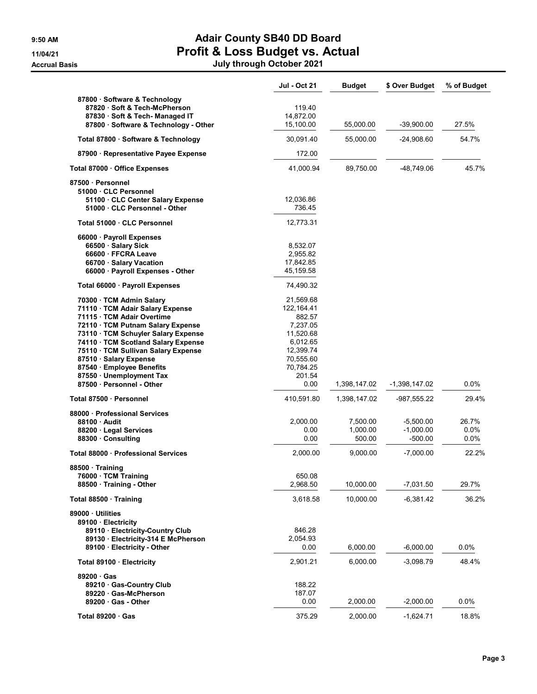## 9:50 AM **Adair County SB40 DD Board** 11/04/21<br>11/04/21 **Profit & Loss Budget vs. Actual**<br>July through October 2021

|  | July through October 202 |  |  |
|--|--------------------------|--|--|
|--|--------------------------|--|--|

|                                                                                                                                                                                                                                                                                                                                                                | Jul - Oct 21                                                                                                                     | <b>Budget</b>                              | \$ Over Budget                                       | % of Budget                       |
|----------------------------------------------------------------------------------------------------------------------------------------------------------------------------------------------------------------------------------------------------------------------------------------------------------------------------------------------------------------|----------------------------------------------------------------------------------------------------------------------------------|--------------------------------------------|------------------------------------------------------|-----------------------------------|
| 87800 · Software & Technology<br>87820 · Soft & Tech-McPherson<br>87830 · Soft & Tech- Managed IT<br>87800 · Software & Technology - Other                                                                                                                                                                                                                     | 119.40<br>14,872.00<br>15,100.00                                                                                                 | 55,000.00                                  | $-39,900.00$                                         | 27.5%                             |
| Total 87800 · Software & Technology                                                                                                                                                                                                                                                                                                                            | 30,091.40                                                                                                                        | 55,000.00                                  | $-24,908.60$                                         | 54.7%                             |
| 87900 · Representative Payee Expense                                                                                                                                                                                                                                                                                                                           | 172.00                                                                                                                           |                                            |                                                      |                                   |
| Total 87000 · Office Expenses                                                                                                                                                                                                                                                                                                                                  | 41,000.94                                                                                                                        | 89,750.00                                  | -48,749.06                                           | 45.7%                             |
| 87500 Personnel<br>51000 CLC Personnel<br>51100 CLC Center Salary Expense<br>51000 · CLC Personnel - Other                                                                                                                                                                                                                                                     | 12,036.86<br>736.45                                                                                                              |                                            |                                                      |                                   |
| Total 51000 · CLC Personnel                                                                                                                                                                                                                                                                                                                                    | 12,773.31                                                                                                                        |                                            |                                                      |                                   |
| 66000 · Payroll Expenses<br>66500 · Salary Sick<br>66600 · FFCRA Leave<br>66700 · Salary Vacation<br>66000 · Payroll Expenses - Other                                                                                                                                                                                                                          | 8,532.07<br>2,955.82<br>17,842.85<br>45,159.58                                                                                   |                                            |                                                      |                                   |
| Total 66000 · Payroll Expenses                                                                                                                                                                                                                                                                                                                                 | 74,490.32                                                                                                                        |                                            |                                                      |                                   |
| 70300 · TCM Admin Salary<br>71110 · TCM Adair Salary Expense<br>71115 · TCM Adair Overtime<br>72110 TCM Putnam Salary Expense<br>73110 · TCM Schuyler Salary Expense<br>74110 · TCM Scotland Salary Expense<br>75110 TCM Sullivan Salary Expense<br>87510 · Salary Expense<br>87540 Employee Benefits<br>87550 · Unemployment Tax<br>87500 · Personnel - Other | 21,569.68<br>122, 164.41<br>882.57<br>7,237.05<br>11,520.68<br>6,012.65<br>12,399.74<br>70,555.60<br>70,784.25<br>201.54<br>0.00 | 1,398,147.02                               | -1,398,147.02                                        | 0.0%                              |
| Total 87500 · Personnel                                                                                                                                                                                                                                                                                                                                        | 410,591.80                                                                                                                       | 1,398,147.02                               | -987,555.22                                          | 29.4%                             |
| 88000 Professional Services<br>88100 Audit<br>88200 · Legal Services<br>88300 Consulting<br>Total 88000 · Professional Services                                                                                                                                                                                                                                | 2,000.00<br>0.00<br>0.00<br>2,000.00                                                                                             | 7,500.00<br>1,000.00<br>500.00<br>9,000.00 | $-5,500.00$<br>$-1,000.00$<br>-500.00<br>$-7,000.00$ | 26.7%<br>0.0%<br>$0.0\%$<br>22.2% |
| 88500 · Training<br>76000 · TCM Training<br>88500 Training - Other                                                                                                                                                                                                                                                                                             | 650.08<br>2,968.50                                                                                                               | 10,000.00                                  | $-7,031.50$                                          | 29.7%                             |
| Total 88500 · Training                                                                                                                                                                                                                                                                                                                                         | 3,618.58                                                                                                                         | 10,000.00                                  | $-6.381.42$                                          | 36.2%                             |
| 89000 Utilities<br>89100 · Electricity<br>89110 · Electricity-Country Club<br>89130 Electricity-314 E McPherson<br>89100 Electricity - Other                                                                                                                                                                                                                   | 846.28<br>2,054.93<br>0.00                                                                                                       | 6,000.00                                   | $-6,000.00$                                          | $0.0\%$                           |
| Total 89100 · Electricity                                                                                                                                                                                                                                                                                                                                      | 2,901.21                                                                                                                         | 6,000.00                                   | -3,098.79                                            | 48.4%                             |
| 89200 Gas<br>89210 Gas-Country Club<br>89220 · Gas-McPherson<br>89200 Gas - Other                                                                                                                                                                                                                                                                              | 188.22<br>187.07<br>0.00                                                                                                         | 2,000.00                                   | $-2,000.00$                                          | 0.0%                              |
| Total 89200 · Gas                                                                                                                                                                                                                                                                                                                                              | 375.29                                                                                                                           | 2,000.00                                   | $-1,624.71$                                          | 18.8%                             |